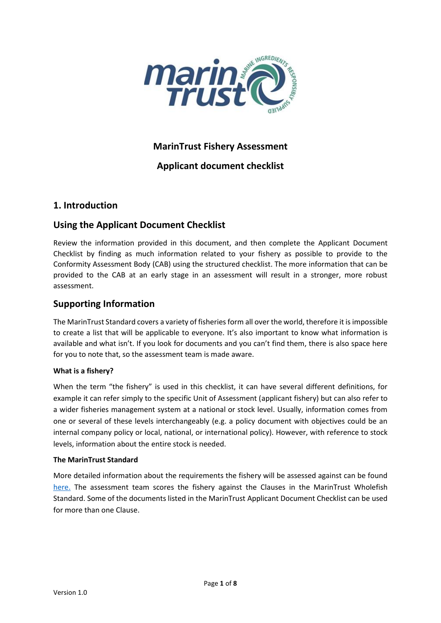

# **MarinTrust Fishery Assessment**

# **Applicant document checklist**

### **1. Introduction**

# **Using the Applicant Document Checklist**

Review the information provided in this document, and then complete the Applicant Document Checklist by finding as much information related to your fishery as possible to provide to the Conformity Assessment Body (CAB) using the structured checklist. The more information that can be provided to the CAB at an early stage in an assessment will result in a stronger, more robust assessment.

# **Supporting Information**

The MarinTrust Standard covers a variety of fisheries form all over the world, therefore it is impossible to create a list that will be applicable to everyone. It's also important to know what information is available and what isn't. If you look for documents and you can't find them, there is also space here for you to note that, so the assessment team is made aware.

### **What is a fishery?**

When the term "the fishery" is used in this checklist, it can have several different definitions, for example it can refer simply to the specific Unit of Assessment (applicant fishery) but can also refer to a wider fisheries management system at a national or stock level. Usually, information comes from one or several of these levels interchangeably (e.g. a policy document with objectives could be an internal company policy or local, national, or international policy). However, with reference to stock levels, information about the entire stock is needed.

### **The MarinTrust Standard**

More detailed information about the requirements the fishery will be assessed against can be found [here.](https://www.marin-trust.com/sites/marintrust/files/2017-07/Fishery%20assessment%20methodology%20V2%20FINAL_2.pdf) The assessment team scores the fishery against the Clauses in the MarinTrust Wholefish Standard. Some of the documents listed in the MarinTrust Applicant Document Checklist can be used for more than one Clause.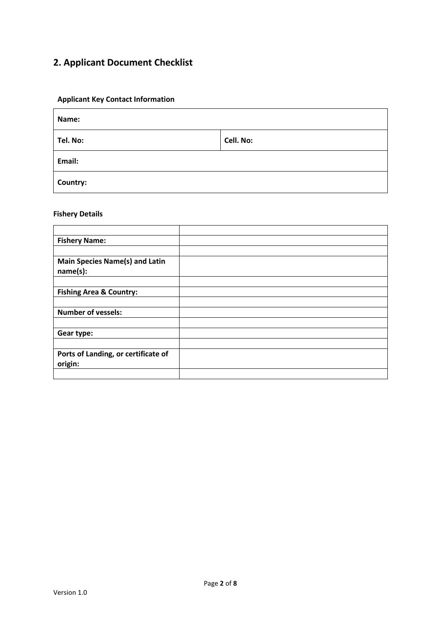# **2. Applicant Document Checklist**

### **Applicant Key Contact Information**

| Name:    |           |  |  |  |
|----------|-----------|--|--|--|
| Tel. No: | Cell. No: |  |  |  |
| Email:   |           |  |  |  |
| Country: |           |  |  |  |

#### **Fishery Details**

| <b>Fishery Name:</b>                              |  |
|---------------------------------------------------|--|
|                                                   |  |
| <b>Main Species Name(s) and Latin</b><br>name(s): |  |
|                                                   |  |
| <b>Fishing Area &amp; Country:</b>                |  |
|                                                   |  |
| <b>Number of vessels:</b>                         |  |
|                                                   |  |
| Gear type:                                        |  |
|                                                   |  |
| Ports of Landing, or certificate of<br>origin:    |  |
|                                                   |  |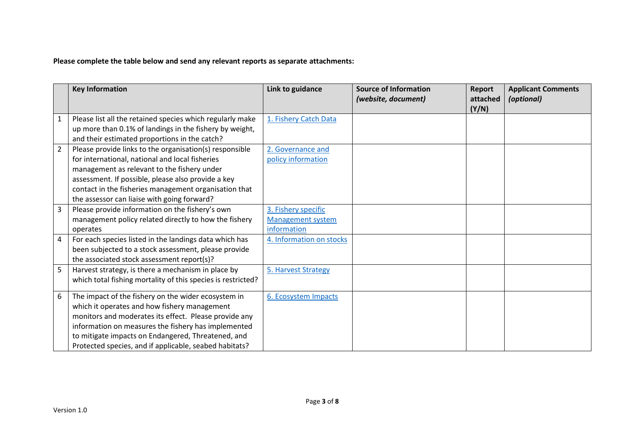**Please complete the table below and send any relevant reports as separate attachments:**

|   | <b>Key Information</b>                                       | Link to guidance         | <b>Source of Information</b><br>(website, document) | Report<br>attached | <b>Applicant Comments</b><br>(optional) |
|---|--------------------------------------------------------------|--------------------------|-----------------------------------------------------|--------------------|-----------------------------------------|
| 1 | Please list all the retained species which regularly make    | 1. Fishery Catch Data    |                                                     | (Y/N)              |                                         |
|   | up more than 0.1% of landings in the fishery by weight,      |                          |                                                     |                    |                                         |
|   | and their estimated proportions in the catch?                |                          |                                                     |                    |                                         |
|   |                                                              |                          |                                                     |                    |                                         |
| 2 | Please provide links to the organisation(s) responsible      | 2. Governance and        |                                                     |                    |                                         |
|   | for international, national and local fisheries              | policy information       |                                                     |                    |                                         |
|   | management as relevant to the fishery under                  |                          |                                                     |                    |                                         |
|   | assessment. If possible, please also provide a key           |                          |                                                     |                    |                                         |
|   | contact in the fisheries management organisation that        |                          |                                                     |                    |                                         |
|   | the assessor can liaise with going forward?                  |                          |                                                     |                    |                                         |
| 3 | Please provide information on the fishery's own              | 3. Fishery specific      |                                                     |                    |                                         |
|   | management policy related directly to how the fishery        | <b>Management system</b> |                                                     |                    |                                         |
|   | operates                                                     | information              |                                                     |                    |                                         |
| 4 | For each species listed in the landings data which has       | 4. Information on stocks |                                                     |                    |                                         |
|   | been subjected to a stock assessment, please provide         |                          |                                                     |                    |                                         |
|   | the associated stock assessment report(s)?                   |                          |                                                     |                    |                                         |
| 5 | Harvest strategy, is there a mechanism in place by           | 5. Harvest Strategy      |                                                     |                    |                                         |
|   | which total fishing mortality of this species is restricted? |                          |                                                     |                    |                                         |
| 6 | The impact of the fishery on the wider ecosystem in          | 6. Ecosystem Impacts     |                                                     |                    |                                         |
|   | which it operates and how fishery management                 |                          |                                                     |                    |                                         |
|   | monitors and moderates its effect. Please provide any        |                          |                                                     |                    |                                         |
|   | information on measures the fishery has implemented          |                          |                                                     |                    |                                         |
|   | to mitigate impacts on Endangered, Threatened, and           |                          |                                                     |                    |                                         |
|   | Protected species, and if applicable, seabed habitats?       |                          |                                                     |                    |                                         |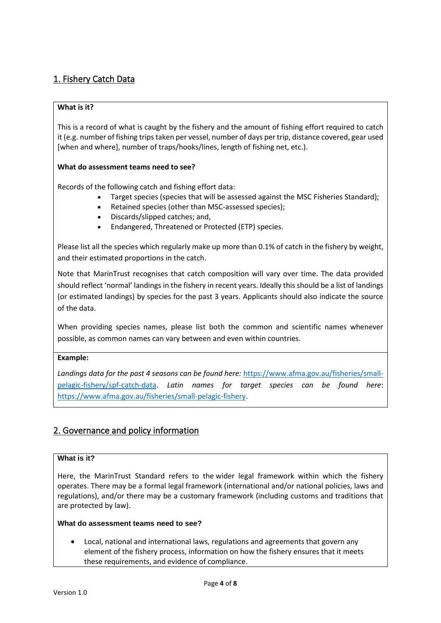# <span id="page-3-0"></span>1. Fishery Catch Data

### **What is it?**

This is a record of what is caught by the fishery and the amount of fishing effort required to catch it (e.g. number of fishing trips taken per vessel, number of days per trip, distance covered, gear used [when and where], number of traps/hooks/lines, length of fishing net, etc.).

### **What do assessment teams need to see?**

Records of the following catch and fishing effort data:

- Target species (species that will be assessed against the MSC Fisheries Standard);
- Retained species (other than MSC-assessed species);
- Discards/slipped catches; and,
- Endangered, Threatened or Protected (ETP) species.

<span id="page-3-1"></span>Please list all the species which regularly make up more than 0.1% of catch in the fishery by weight, and their estimated proportions in the catch.

Note that MarinTrust recognises that catch composition will vary over time. The data provided should reflect 'normal' landings in the fishery in recent years. Ideally this should be a list of landings (or estimated landings) by species for the past 3 years. Applicants should also indicate the source of the data.

When providing species names, please list both the common and scientific names whenever possible, as common names can vary between and even within countries.

### **Example:**

*Landings data for the past 4 seasons can be found here:* [https://www.afma.gov.au/fisheries/small](https://www.afma.gov.au/fisheries/small-pelagic-fishery/spf-catch-data)[pelagic-fishery/spf-catch-data.](https://www.afma.gov.au/fisheries/small-pelagic-fishery/spf-catch-data) *Latin names for target species can be found here*: [https://www.afma.gov.au/fisheries/small-pelagic-fishery.](https://www.afma.gov.au/fisheries/small-pelagic-fishery)

# 2. Governance and policy information

### **What is it?**

Here, the MarinTrust Standard refers to the wider legal framework within which the fishery operates. There may be a formal legal framework (international and/or national policies, laws and regulations), and/or there may be a customary framework (including customs and traditions that are protected by law).

### **What do assessment teams need to see?**

• Local, national and international laws, regulations and agreements that govern any element of the fishery process, information on how the fishery ensures that it meets these requirements, and evidence of compliance.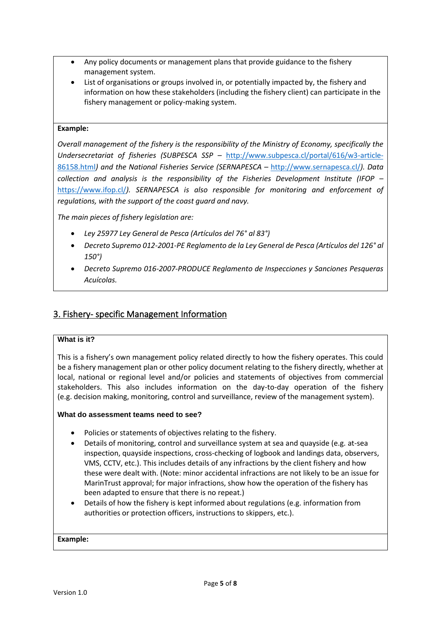- Any policy documents or management plans that provide guidance to the fishery management system.
- List of organisations or groups involved in, or potentially impacted by, the fishery and information on how these stakeholders (including the fishery client) can participate in the fishery management or policy-making system.

### <span id="page-4-0"></span>**Example:**

*Overall management of the fishery is the responsibility of the Ministry of Economy, specifically the Undersecretariat of fisheries (SUBPESCA SSP –* [http://www.subpesca.cl/portal/616/w3-article-](http://www.subpesca.cl/portal/616/w3-article-86158.html)[86158.html](http://www.subpesca.cl/portal/616/w3-article-86158.html)*) and the National Fisheries Service (SERNAPESCA –* <http://www.sernapesca.cl/>*). Data collection and analysis is the responsibility of the Fisheries Development Institute (IFOP –* <https://www.ifop.cl/>*). SERNAPESCA is also responsible for monitoring and enforcement of regulations, with the support of the coast guard and navy.*

*The main pieces of fishery legislation are:*

- *Ley 25977 Ley General de Pesca (Artículos del 76° al 83°)*
- *Decreto Supremo 012-2001-PE Reglamento de la Ley General de Pesca (Artículos del 126° al 150°)*
- *Decreto Supremo 016-2007-PRODUCE Reglamento de Inspecciones y Sanciones Pesqueras Acuícolas.*

### 3. Fishery- specific Management Information

### **What is it?**

This is a fishery's own management policy related directly to how the fishery operates. This could be a fishery management plan or other policy document relating to the fishery directly, whether at local, national or regional level and/or policies and statements of objectives from commercial stakeholders. This also includes information on the day-to-day operation of the fishery (e.g. decision making, monitoring, control and surveillance, review of the management system).

### **What do assessment teams need to see?**

- Policies or statements of objectives relating to the fishery.
- Details of monitoring, control and surveillance system at sea and quayside (e.g. at-sea inspection, quayside inspections, cross-checking of logbook and landings data, observers, VMS, CCTV, etc.). This includes details of any infractions by the client fishery and how these were dealt with. (Note: minor accidental infractions are not likely to be an issue for MarinTrust approval; for major infractions, show how the operation of the fishery has been adapted to ensure that there is no repeat.)
- Details of how the fishery is kept informed about regulations (e.g. information from authorities or protection officers, instructions to skippers, etc.).

**Example:**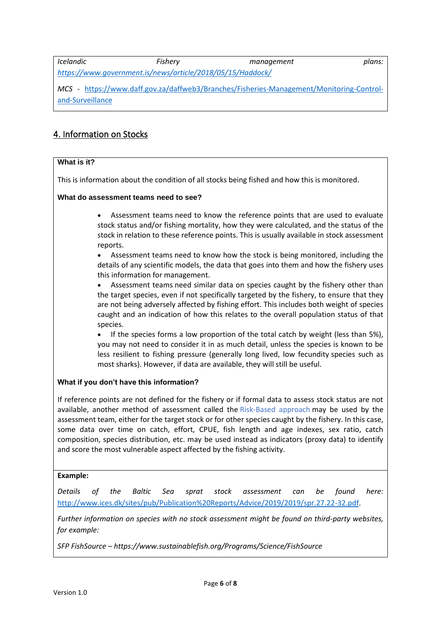<span id="page-5-0"></span>*Icelandic Fishery management plans: <https://www.government.is/news/article/2018/05/15/Haddock/>*

*MCS -* [https://www.daff.gov.za/daffweb3/Branches/Fisheries-Management/Monitoring-Control](https://www.daff.gov.za/daffweb3/Branches/Fisheries-Management/Monitoring-Control-and-Surveillance)[and-Surveillance](https://www.daff.gov.za/daffweb3/Branches/Fisheries-Management/Monitoring-Control-and-Surveillance)

# 4. Information on Stocks

### **What is it?**

This is information about the condition of all stocks being fished and how this is monitored.

### **What do assessment teams need to see?**

- Assessment teams need to know the reference points that are used to evaluate stock status and/or fishing mortality, how they were calculated, and the status of the stock in relation to these reference points. This is usually available in stock assessment reports.
- Assessment teams need to know how the stock is being monitored, including the details of any scientific models, the data that goes into them and how the fishery uses this information for management.
- Assessment teams need similar data on species caught by the fishery other than the target species, even if not specifically targeted by the fishery, to ensure that they are not being adversely affected by fishing effort. This includes both weight of species caught and an indication of how this relates to the overall population status of that species.
- If the species forms a low proportion of the total catch by weight (less than 5%), you may not need to consider it in as much detail, unless the species is known to be less resilient to fishing pressure (generally long lived, low fecundity species such as most sharks). However, if data are available, they will still be useful.

### **What if you don't have this information?**

If reference points are not defined for the fishery or if formal data to assess stock status are not available, another method of assessment called the Risk-Based approach may be used by the assessment team, either for the target stock or for other species caught by the fishery. In this case, some data over time on catch, effort, CPUE, fish length and age indexes, sex ratio, catch composition, species distribution, etc. may be used instead as indicators (proxy data) to identify and score the most vulnerable aspect affected by the fishing activity.

### **Example:**

*Details of the Baltic Sea sprat stock assessment can be found here:* [http://www.ices.dk/sites/pub/Publication%20Reports/Advice/2019/2019/spr.27.22-32.pdf.](http://www.ices.dk/sites/pub/Publication%20Reports/Advice/2019/2019/spr.27.22-32.pdf)

*Further information on species with no stock assessment might be found on third-party websites, for example:*

*SFP FishSource – https://www.sustainablefish.org/Programs/Science/FishSource*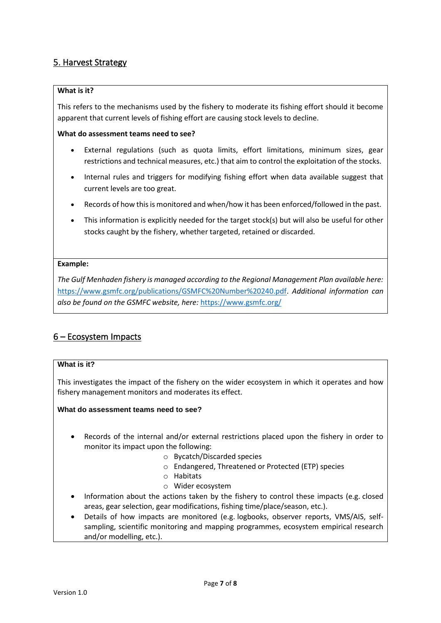### <span id="page-6-0"></span>5. Harvest Strategy

### **What is it?**

This refers to the mechanisms used by the fishery to moderate its fishing effort should it become apparent that current levels of fishing effort are causing stock levels to decline.

### **What do assessment teams need to see?**

- <span id="page-6-1"></span>• External regulations (such as quota limits, effort limitations, minimum sizes, gear restrictions and technical measures, etc.) that aim to control the exploitation of the stocks.
- Internal rules and triggers for modifying fishing effort when data available suggest that current levels are too great.
- Records of how this is monitored and when/how it has been enforced/followed in the past.
- This information is explicitly needed for the target stock(s) but will also be useful for other stocks caught by the fishery, whether targeted, retained or discarded.

### **Example:**

*The Gulf Menhaden fishery is managed according to the Regional Management Plan available here:* [https://www.gsmfc.org/publications/GSMFC%20Number%20240.pdf.](https://www.gsmfc.org/publications/GSMFC%20Number%20240.pdf) *Additional information can also be found on the GSMFC website, here:* <https://www.gsmfc.org/>

# 6 – Ecosystem Impacts

### **What is it?**

This investigates the impact of the fishery on the wider ecosystem in which it operates and how fishery management monitors and moderates its effect.

**What do assessment teams need to see?**

- Records of the internal and/or external restrictions placed upon the fishery in order to monitor its impact upon the following:
	- o Bycatch/Discarded species
	- o Endangered, Threatened or Protected (ETP) species
	- o Habitats
	- o Wider ecosystem
- Information about the actions taken by the fishery to control these impacts (e.g. closed areas, gear selection, gear modifications, fishing time/place/season, etc.).
- Details of how impacts are monitored (e.g. logbooks, observer reports, VMS/AIS, selfsampling, scientific monitoring and mapping programmes, ecosystem empirical research and/or modelling, etc.).